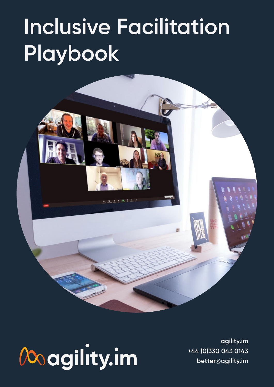## **Inclusive Facilitation Playbook**

# Magility.im

**[agility.im](http://agility.im) +44 (0)330 043 0143 better@agility.im**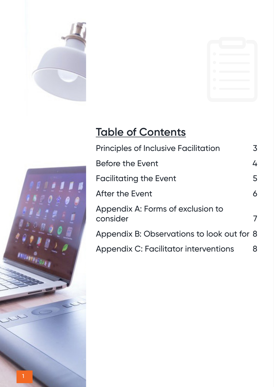



## **Table of Contents**

| <b>Principles of Inclusive Facilitation</b>   | 3 |
|-----------------------------------------------|---|
| <b>Before the Event</b>                       | 4 |
| <b>Facilitating the Event</b>                 | 5 |
| <b>After the Event</b>                        | 6 |
| Appendix A: Forms of exclusion to<br>consider |   |
| Appendix B: Observations to look out for 8    |   |
| <b>Appendix C: Facilitator interventions</b>  | 8 |
|                                               |   |

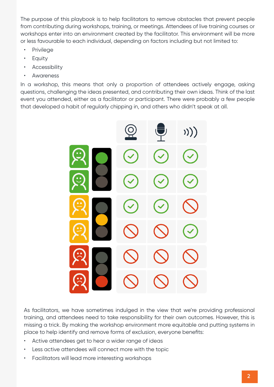The purpose of this playbook is to help facilitators to remove obstacles that prevent people from contributing during workshops, training, or meetings. Attendees of live training courses or workshops enter into an environment created by the facilitator. This environment will be more or less favourable to each individual, depending on factors including but not limited to:

- Privilege
- Equity
- **Accessibility**
- Awareness

In a workshop, this means that only a proportion of attendees actively engage, asking questions, challenging the ideas presented, and contributing their own ideas. Think of the last event you attended, either as a facilitator or participant. There were probably a few people that developed a habit of regularly chipping in, and others who didn't speak at all.



As facilitators, we have sometimes indulged in the view that we're providing professional training, and attendees need to take responsibility for their own outcomes. However, this is missing a trick. By making the workshop environment more equitable and putting systems in place to help identify and remove forms of exclusion, everyone benefits:

- Active attendees get to hear a wider range of ideas
- Less active attendees will connect more with the topic
- Facilitators will lead more interesting workshops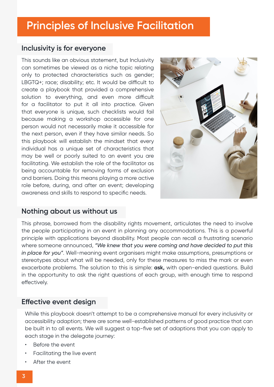## <span id="page-3-0"></span>**Principles of Inclusive Facilitation**

#### **Inclusivity is for everyone**

This sounds like an obvious statement, but Inclusivity can sometimes be viewed as a niche topic relating only to protected characteristics such as gender; LBGTQ+; race; disability; etc. It would be difficult to create a playbook that provided a comprehensive solution to everything, and even more difficult for a facilitator to put it all into practice. Given that everyone is unique, such checklists would fail because making a workshop accessible for one person would not necessarily make it accessible for the next person, even if they have similar needs. So this playbook will establish the mindset that every individual has a unique set of characteristics that may be well or poorly suited to an event you are facilitating. We establish the role of the facilitator as being accountable for removing forms of exclusion and barriers. Doing this means playing a more active role before, during, and after an event; developing awareness and skills to respond to specific needs.



#### **Nothing about us without us**

This phrase, borrowed from the disability rights movement, articulates the need to involve the people participating in an event in planning any accommodations. This is a powerful principle with applications beyond disability. Most people can recall a frustrating scenario where someone announced, *"We knew that you were coming and have decided to put this in place for you"*. Well-meaning event organisers might make assumptions, presumptions or stereotypes about what will be needed, only for these measures to miss the mark or even exacerbate problems. The solution to this is simple: **ask,** with open-ended questions. Build in the opportunity to ask the right questions of each group, with enough time to respond effectively.

#### **Effective event design**

While this playbook doesn't attempt to be a comprehensive manual for every inclusivity or accessibility adaption; there are some well-established patterns of good practice that can be built in to all events. We will suggest a top-five set of adaptions that you can apply to each stage in the delegate journey:

- Before the event
- Facilitating the live event
- After the event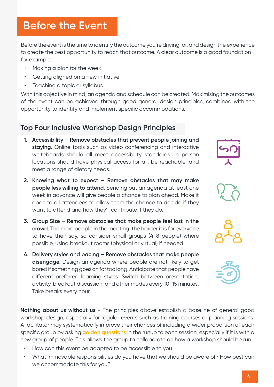## <span id="page-4-0"></span>**Before the Event**

Before the event is the time to identify the outcome you're driving for, and design the experience to create the best opportunity to reach that outcome. A clear outcome is a good foundation– for example:

- Making a plan for the week
- Getting aligned on a new initiative
- Teaching a topic or syllabus

With this objective in mind, an agenda and schedule can be created. Maximising the outcomes of the event can be achieved through good general design principles, combined with the opportunity to identify and implement specific accommodations.

#### **Top Four Inclusive Workshop Design Principles**

- **1. Accessibility Remove obstacles that prevent people joining and staying.** Online tools such as video conferencing and interactive whiteboards should all meet accessibility standards. In person locations should have physical access for all, be reachable, and meet a range of dietary needs.
- **2. Knowing what to expect Remove obstacles that may make people less willing to attend**. Sending out an agenda at least one week in advance will give people a chance to plan ahead. Make it open to all attendees to allow them the chance to decide if they want to attend and how they'll contribute if they do.
- **3. Group Size Remove obstacles that make people feel lost in the crowd.** The more people in the meeting, the harder it is for everyone to have their say, so consider small groups (4-8 people) where possible, using breakout rooms (physical or virtual) if needed.
- **4. Delivery styles and pacing Remove obstacles that make people disengage.** Design an agenda where people are not likely to get bored if something goes on for too long. Anticipate that people have different preferred learning styles. Switch between presentation, activity, breakout discussion, and other modes every 10-15 minutes. Take breaks every hour.

**Nothing about us without us -** The principles above establish a baseline of general good workshop design, especially for regular events such as training courses or planning sessions. A facilitator may systematically improve their chances of including a wider proportion of each specific group by asking **golden questions** in the runup to each session, especially if it is with a new group of people. This allows the group to collaborate on how a workshop should be run.

- How can this event be adapted to be accessible to you
- What immovable responsibilities do you have that we should be aware of? How best can we accommodate this for you?







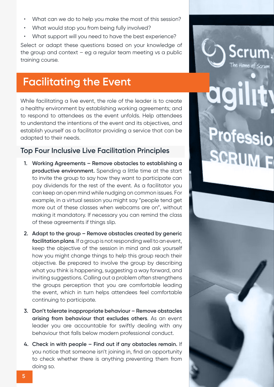- <span id="page-5-0"></span>• What can we do to help you make the most of this session?
- What would stop you from being fully involved?
- What support will you need to have the best experience?

Select or adapt these questions based on your knowledge of the group and context  $-$  eg a regular team meeting vs a public training course.

## **Facilitating the Event**

While facilitating a live event, the role of the leader is to create a healthy environment by establishing working agreements; and to respond to attendees as the event unfolds. Help attendees to understand the intentions of the event and its objectives, and establish yourself as a facilitator providing a service that can be adapted to their needs.

#### **Top Four Inclusive Live Facilitation Principles**

- **1. Working Agreements Remove obstacles to establishing a productive environment.** Spending a little time at the start to invite the group to say how they want to participate can pay dividends for the rest of the event. As a facilitator you can keep an open mind while nudging on common issues. For example, in a virtual session you might say "people tend get more out of these classes when webcams are on", without making it mandatory. If necessary you can remind the class of these agreements if things slip.
- **2. Adapt to the group Remove obstacles created by generic facilitation plans**. If a group is not responding well to an event, keep the objective of the session in mind and ask yourself how you might change things to help this group reach their objective. Be prepared to involve the group by describing what you think is happening, suggesting a way forward, and inviting suggestions. Calling out a problem often strengthens the groups perception that you are comfortable leading the event, which in turn helps attendees feel comfortable continuing to participate.
- **3. Don't tolerate inappropriate behaviour Remove obstacles arising from behaviour that excludes others**. As an event leader you are accountable for swiftly dealing with any behaviour that falls below modern professional conduct.
- **4. Check in with people Find out if any obstacles remain.** If you notice that someone isn't joining in, find an opportunity to check whether there is anything preventing them from doing so.



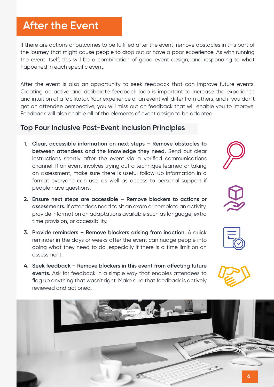## <span id="page-6-0"></span>**After the Event**

If there are actions or outcomes to be fulfilled after the event, remove obstacles in this part of the journey that might cause people to drop out or have a poor experience. As with running the event itself, this will be a combination of good event design, and responding to what happened in each specific event.

After the event is also an opportunity to seek feedback that can improve future events. Creating an active and deliberate feedback loop is important to increase the experience and intuition of a facilitator. Your experience of an event will differ from others, and if you don't get an attendee perspective, you will miss out on feedback that will enable you to improve. Feedback will also enable all of the elements of event design to be adapted.

#### **Top Four Inclusive Post-Event Inclusion Principles**

- **1. Clear, accessible information on next steps Remove obstacles to between attendees and the knowledge they need.** Send out clear instructions shortly after the event via a verified communications channel. If an event involves trying out a technique learned or taking an assessment, make sure there is useful follow-up information in a format everyone can use, as well as access to personal support if people have questions.
- **2. Ensure next steps are accessible Remove blockers to actions or assessments.** If attendees need to sit an exam or complete an activity, provide information on adaptations available such as language, extra time provision, or accessibility.
- **3. Provide reminders Remove blockers arising from inaction.** A quick reminder in the days or weeks after the event can nudge people into doing what they need to do, especially if there is a time limit on an assessment.
- **4. Seek feedback Remove blockers in this event from affecting future events.** Ask for feedback in a simple way that enables attendees to flag up anything that wasn't right. Make sure that feedback is actively reviewed and actioned.

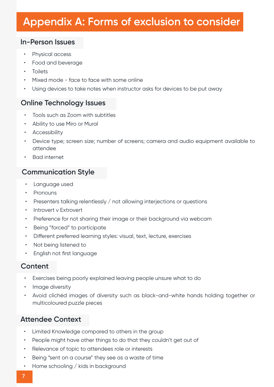## <span id="page-7-0"></span>**Appendix A: Forms of exclusion to consider**

#### **In-Person Issues**

- Physical access
- Food and beverage
- **Toilets**
- Mixed mode face to face with some online
- Using devices to take notes when instructor asks for devices to be put away

#### **Online Technology Issues**

- Tools such as Zoom with subtitles
- Ability to use Miro or Mural
- Accessibility
- Device type; screen size; number of screens; camera and audio equipment available to attendee
- Bad internet

#### **Communication Style**

- Language used
- Pronouns
- Presenters talking relentlessly / not allowing interjections or questions
- Introvert v Extrovert
- Preference for not sharing their image or their background via webcam
- Being "forced" to participate
- Different preferred learning styles: visual, text, lecture, exercises
- Not being listened to
- English not first language

#### **Content**

- Exercises being poorly explained leaving people unsure what to do
- Image diversity
- Avoid clichéd images of diversity such as black-and-white hands holding together or multicoloured puzzle pieces

#### **Attendee Context**

- Limited Knowledge compared to others in the group
- People might have other things to do that they couldn't get out of
- Relevance of topic to attendees role or interests
- Being "sent on a course" they see as a waste of time
- Home schooling / kids in background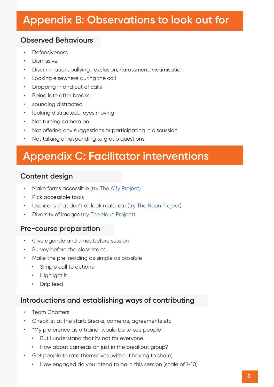## <span id="page-8-0"></span>**Appendix B: Observations to look out for**

#### **Observed Behaviours**

- **Defensiveness**
- Dismissive
- Discrimination, bullying , exclusion, harassment, victimisation
- Looking elsewhere during the call
- Dropping in and out of calls
- Being late after breaks
- sounding distracted
- looking distracted... eyes moving
- Not turning camera on
- Not offering any suggestions or participating in discussion
- Not talking or responding to group questions

## **Appendix C: Facilitator interventions**

#### **Content design**

- Make forms accessible [\(try The A11y Project\)](https://www.a11yproject.com/checklist/#forms)
- Pick accessible tools
- Use icons that don't all look male, etc [\(try The Noun Project\)](https://thenounproject.com)
- Diversity of images [\(try The Noun Project\)](https://thenounproject.com)

#### **Pre-course preparation**

- Give agenda and times before session
- Survey before the class starts
- Make the pre-reading as simple as possible
	- Simple call to actions
	- Highlight it
	- **Drip feed**

#### **Introductions and establishing ways of contributing**

- **Team Charters**
- Checklist at the start: Breaks, cameras, agreements etc
- "My preference as a trainer would be to see people"
	- But I understand that its not for everyone
	- How about cameras on just in the breakout group?
- Get people to rate themselves (without having to share)
	- How engaged do you intend to be in this session (scale of 1-10)